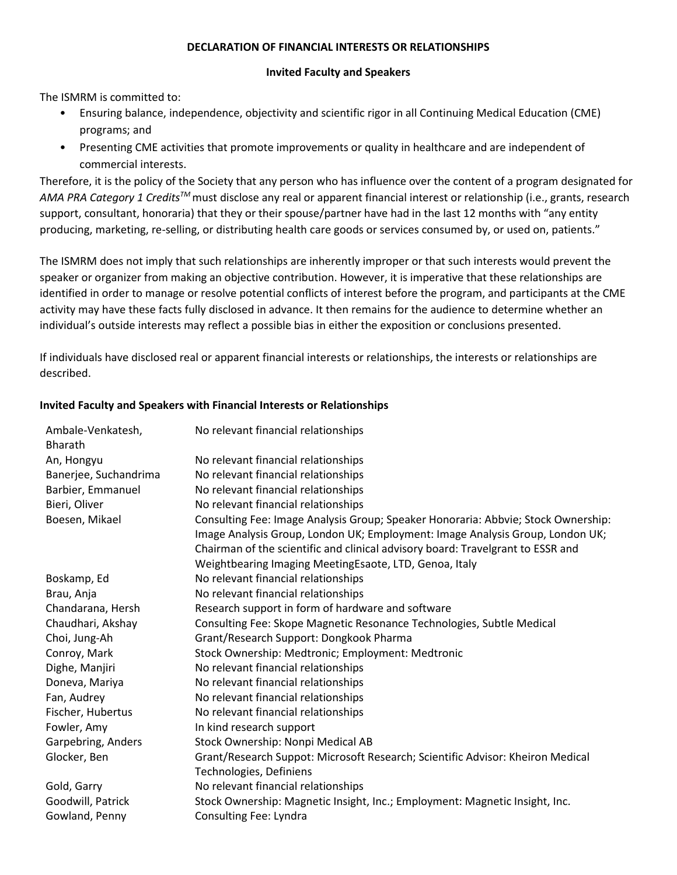## **DECLARATION OF FINANCIAL INTERESTS OR RELATIONSHIPS**

## **Invited Faculty and Speakers**

The ISMRM is committed to:

- Ensuring balance, independence, objectivity and scientific rigor in all Continuing Medical Education (CME) programs; and
- Presenting CME activities that promote improvements or quality in healthcare and are independent of commercial interests.

Therefore, it is the policy of the Society that any person who has influence over the content of a program designated for *AMA PRA Category 1 CreditsTM* must disclose any real or apparent financial interest or relationship (i.e., grants, research support, consultant, honoraria) that they or their spouse/partner have had in the last 12 months with "any entity producing, marketing, re-selling, or distributing health care goods or services consumed by, or used on, patients."

The ISMRM does not imply that such relationships are inherently improper or that such interests would prevent the speaker or organizer from making an objective contribution. However, it is imperative that these relationships are identified in order to manage or resolve potential conflicts of interest before the program, and participants at the CME activity may have these facts fully disclosed in advance. It then remains for the audience to determine whether an individual's outside interests may reflect a possible bias in either the exposition or conclusions presented.

If individuals have disclosed real or apparent financial interests or relationships, the interests or relationships are described.

## **Invited Faculty and Speakers with Financial Interests or Relationships**

| Ambale-Venkatesh,<br><b>Bharath</b> | No relevant financial relationships                                                                       |  |  |
|-------------------------------------|-----------------------------------------------------------------------------------------------------------|--|--|
| An, Hongyu                          | No relevant financial relationships                                                                       |  |  |
| Banerjee, Suchandrima               | No relevant financial relationships                                                                       |  |  |
| Barbier, Emmanuel                   | No relevant financial relationships                                                                       |  |  |
| Bieri, Oliver                       | No relevant financial relationships                                                                       |  |  |
| Boesen, Mikael                      | Consulting Fee: Image Analysis Group; Speaker Honoraria: Abbvie; Stock Ownership:                         |  |  |
|                                     | Image Analysis Group, London UK; Employment: Image Analysis Group, London UK;                             |  |  |
|                                     | Chairman of the scientific and clinical advisory board: Travelgrant to ESSR and                           |  |  |
|                                     | Weightbearing Imaging MeetingEsaote, LTD, Genoa, Italy                                                    |  |  |
| Boskamp, Ed                         | No relevant financial relationships                                                                       |  |  |
| Brau, Anja                          | No relevant financial relationships                                                                       |  |  |
| Chandarana, Hersh                   | Research support in form of hardware and software                                                         |  |  |
| Chaudhari, Akshay                   | Consulting Fee: Skope Magnetic Resonance Technologies, Subtle Medical                                     |  |  |
| Choi, Jung-Ah                       | Grant/Research Support: Dongkook Pharma                                                                   |  |  |
| Conroy, Mark                        | Stock Ownership: Medtronic; Employment: Medtronic                                                         |  |  |
| Dighe, Manjiri                      | No relevant financial relationships                                                                       |  |  |
| Doneva, Mariya                      | No relevant financial relationships                                                                       |  |  |
| Fan, Audrey                         | No relevant financial relationships                                                                       |  |  |
| Fischer, Hubertus                   | No relevant financial relationships                                                                       |  |  |
| Fowler, Amy                         | In kind research support                                                                                  |  |  |
| Garpebring, Anders                  | Stock Ownership: Nonpi Medical AB                                                                         |  |  |
| Glocker, Ben                        | Grant/Research Suppot: Microsoft Research; Scientific Advisor: Kheiron Medical<br>Technologies, Definiens |  |  |
| Gold, Garry                         | No relevant financial relationships                                                                       |  |  |
| Goodwill, Patrick                   | Stock Ownership: Magnetic Insight, Inc.; Employment: Magnetic Insight, Inc.                               |  |  |
| Gowland, Penny                      | Consulting Fee: Lyndra                                                                                    |  |  |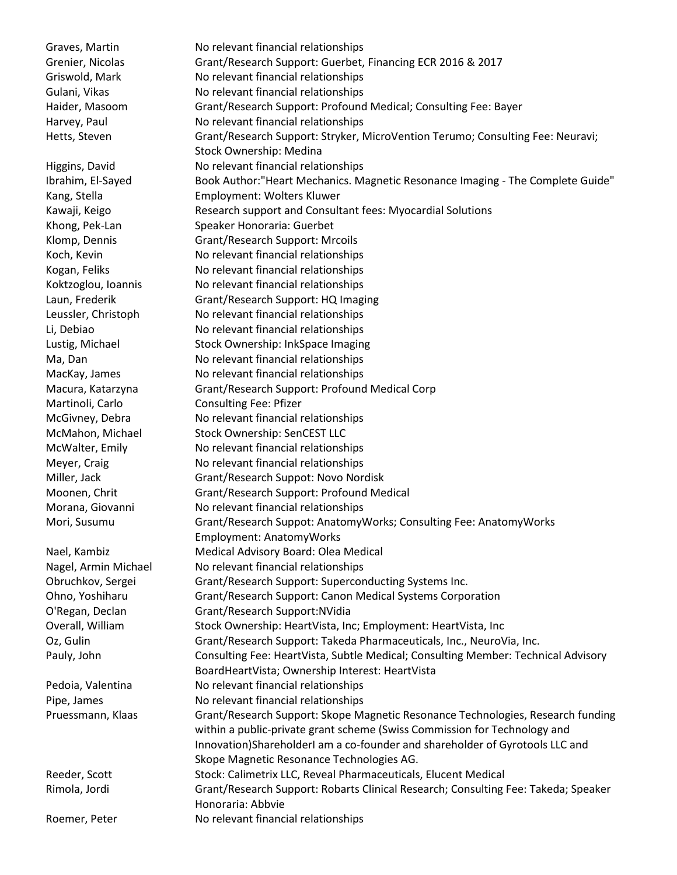Graves, Martin No relevant financial relationships Grenier, Nicolas Grant/Research Support: Guerbet, Financing ECR 2016 & 2017 Griswold, Mark No relevant financial relationships Gulani, Vikas No relevant financial relationships Haider, Masoom Grant/Research Support: Profound Medical; Consulting Fee: Bayer Harvey, Paul No relevant financial relationships Hetts, Steven Grant/Research Support: Stryker, MicroVention Terumo; Consulting Fee: Neuravi; Stock Ownership: Medina Higgins, David No relevant financial relationships Ibrahim, El-Sayed **Book Author: "Heart Mechanics. Magnetic Resonance Imaging - The Complete Guide"** Kang, Stella Employment: Wolters Kluwer Kawaji, Keigo **Research support and Consultant fees: Myocardial Solutions** Khong, Pek-Lan Speaker Honoraria: Guerbet Klomp, Dennis Grant/Research Support: Mrcoils Koch, Kevin No relevant financial relationships Kogan, Feliks No relevant financial relationships Koktzoglou, Ioannis No relevant financial relationships Laun, Frederik Grant/Research Support: HQ Imaging Leussler, Christoph No relevant financial relationships Li, Debiao No relevant financial relationships Lustig, Michael Stock Ownership: InkSpace Imaging Ma, Dan No relevant financial relationships MacKay, James No relevant financial relationships Macura, Katarzyna Grant/Research Support: Profound Medical Corp Martinoli, Carlo Consulting Fee: Pfizer McGivney, Debra No relevant financial relationships McMahon, Michael Stock Ownership: SenCEST LLC McWalter, Emily No relevant financial relationships Meyer, Craig No relevant financial relationships Miller, Jack Grant/Research Suppot: Novo Nordisk Moonen, Chrit Grant/Research Support: Profound Medical Morana, Giovanni No relevant financial relationships Mori, Susumu Grant/Research Suppot: AnatomyWorks; Consulting Fee: AnatomyWorks Employment: AnatomyWorks Nael, Kambiz Medical Advisory Board: Olea Medical Nagel, Armin Michael No relevant financial relationships Obruchkov, Sergei Grant/Research Support: Superconducting Systems Inc. Ohno, Yoshiharu Grant/Research Support: Canon Medical Systems Corporation O'Regan, Declan Grant/Research Support:NVidia Overall, William Stock Ownership: HeartVista, Inc; Employment: HeartVista, Inc Oz, Gulin Grant/Research Support: Takeda Pharmaceuticals, Inc., NeuroVia, Inc. Pauly, John Consulting Fee: HeartVista, Subtle Medical; Consulting Member: Technical Advisory BoardHeartVista; Ownership Interest: HeartVista Pedoia, Valentina No relevant financial relationships Pipe, James No relevant financial relationships Pruessmann, Klaas Grant/Research Support: Skope Magnetic Resonance Technologies, Research funding within a public-private grant scheme (Swiss Commission for Technology and Innovation)ShareholderI am a co-founder and shareholder of Gyrotools LLC and Skope Magnetic Resonance Technologies AG. Reeder, Scott Stock: Calimetrix LLC, Reveal Pharmaceuticals, Elucent Medical Rimola, Jordi Grant/Research Support: Robarts Clinical Research; Consulting Fee: Takeda; Speaker Honoraria: Abbvie Roemer, Peter No relevant financial relationships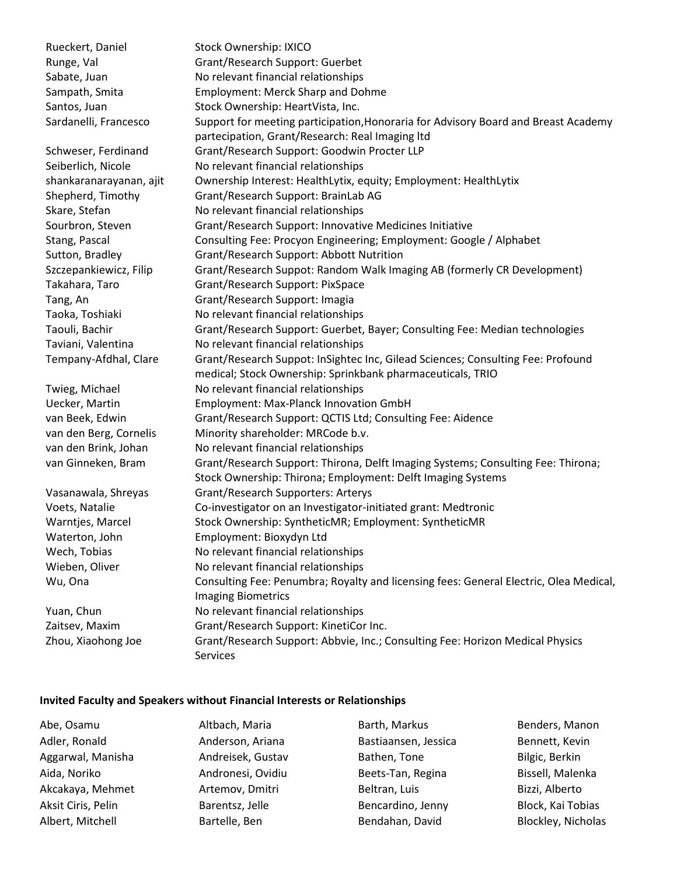Rueckert, Daniel Stock Ownership: IXICO Runge, Val Grant/Research Support: Guerbet Sabate, Juan No relevant financial relationships Sampath, Smita Employment: Merck Sharp and Dohme Santos, Juan Stock Ownership: HeartVista, Inc. Sardanelli, Francesco Support for meeting participation, Honoraria for Advisory Board and Breast Academy partecipation, Grant/Research: Real Imaging ltd Schweser, Ferdinand Grant/Research Support: Goodwin Procter LLP Seiberlich, Nicole No relevant financial relationships shankaranarayanan, ajit Ownership Interest: HealthLytix, equity; Employment: HealthLytix Shepherd, Timothy Grant/Research Support: BrainLab AG Skare, Stefan No relevant financial relationships Sourbron, Steven Grant/Research Support: Innovative Medicines Initiative Stang, Pascal Consulting Fee: Procyon Engineering; Employment: Google / Alphabet Sutton, Bradley Grant/Research Support: Abbott Nutrition Szczepankiewicz, Filip Grant/Research Suppot: Random Walk Imaging AB (formerly CR Development) Takahara, Taro Grant/Research Support: PixSpace Tang, An Grant/Research Support: Imagia Taoka, Toshiaki No relevant financial relationships Taouli, Bachir Grant/Research Support: Guerbet, Bayer; Consulting Fee: Median technologies Taviani, Valentina No relevant financial relationships Tempany-Afdhal, Clare Grant/Research Suppot: InSightec Inc, Gilead Sciences; Consulting Fee: Profound medical; Stock Ownership: Sprinkbank pharmaceuticals, TRIO Twieg, Michael No relevant financial relationships Uecker, Martin Employment: Max-Planck Innovation GmbH van Beek, Edwin Grant/Research Support: QCTIS Ltd; Consulting Fee: Aidence van den Berg, Cornelis Minority shareholder: MRCode b.v. van den Brink, Johan No relevant financial relationships van Ginneken, Bram Grant/Research Support: Thirona, Delft Imaging Systems; Consulting Fee: Thirona; Stock Ownership: Thirona; Employment: Delft Imaging Systems Vasanawala, Shreyas Grant/Research Supporters: Arterys Voets, Natalie Co-investigator on an Investigator-initiated grant: Medtronic Warntjes, Marcel Stock Ownership: SyntheticMR; Employment: SyntheticMR Waterton, John Employment: Bioxydyn Ltd Wech, Tobias No relevant financial relationships Wieben, Oliver No relevant financial relationships Wu, Ona Consulting Fee: Penumbra; Royalty and licensing fees: General Electric, Olea Medical, Imaging Biometrics Yuan, Chun No relevant financial relationships Zaitsev, Maxim Grant/Research Support: KinetiCor Inc. Zhou, Xiaohong Joe Grant/Research Support: Abbvie, Inc.; Consulting Fee: Horizon Medical Physics Services

## **Invited Faculty and Speakers without Financial Interests or Relationships**

| Abe, Osamu         | Altbach, Maria    | Barth, Markus        | Benders, Manon     |
|--------------------|-------------------|----------------------|--------------------|
| Adler, Ronald      | Anderson, Ariana  | Bastiaansen, Jessica | Bennett, Kevin     |
| Aggarwal, Manisha  | Andreisek, Gustav | Bathen, Tone         | Bilgic, Berkin     |
| Aida, Noriko       | Andronesi, Ovidiu | Beets-Tan, Regina    | Bissell, Malenka   |
| Akcakaya, Mehmet   | Artemov, Dmitri   | Beltran, Luis        | Bizzi, Alberto     |
| Aksit Ciris, Pelin | Barentsz, Jelle   | Bencardino, Jenny    | Block, Kai Tobias  |
| Albert, Mitchell   | Bartelle, Ben     | Bendahan, David      | Blockley, Nicholas |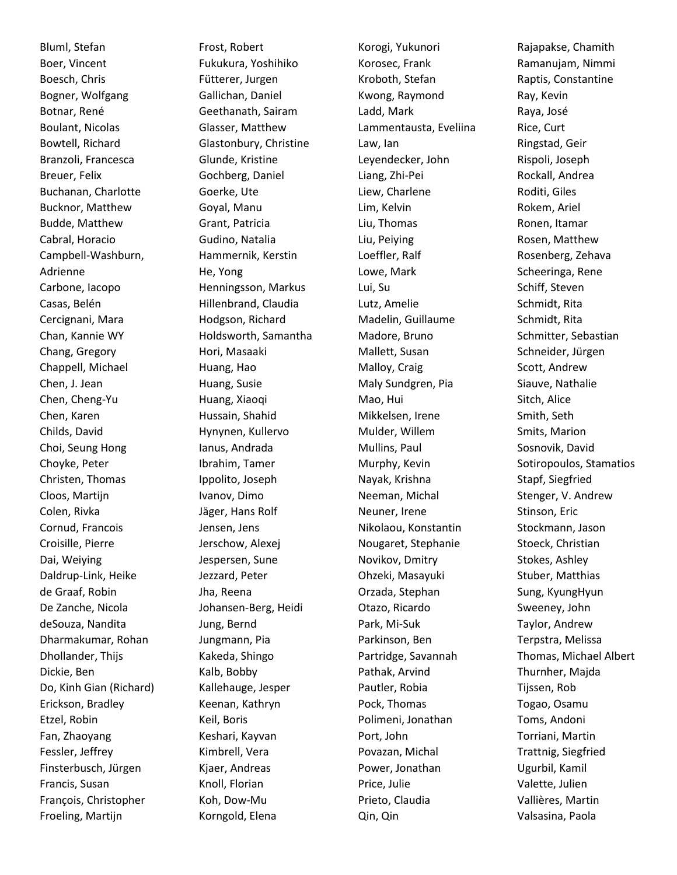Bluml, Stefan Boer, Vincent Boesch, Chris Bogner, Wolfgang Botnar, René Boulant, Nicolas Bowtell, Richard Branzoli, Francesca Breuer, Felix Buchanan, Charlotte Bucknor, Matthew Budde, Matthew Cabral, Horacio Campbell-Washburn, Adrienne Carbone, Iacopo Casas, Belén Cercignani, Mara Chan, Kannie WY Chang, Gregory Chappell, Michael Chen, J. Jean Chen, Cheng-Yu Chen, Karen Childs, David Choi, Seung Hong Choyke, Peter Christen, Thomas Cloos, Martijn Colen, Rivka Cornud, Francois Croisille, Pierre Dai, Weiying Daldrup-Link, Heike de Graaf, Robin De Zanche, Nicola deSouza, Nandita Dharmakumar, Rohan Dhollander, Thijs Dickie, Ben Do, Kinh Gian (Richard) Erickson, Bradley Etzel, Robin Fan, Zhaoyang Fessler, Jeffrey Finsterbusch, Jürgen Francis, Susan François, Christopher Froeling, Martijn

Frost, Robert Fukukura, Yoshihiko Fütterer, Jurgen Gallichan, Daniel Geethanath, Sairam Glasser, Matthew Glastonbury, Christine Glunde, Kristine Gochberg, Daniel Goerke, Ute Goyal, Manu Grant, Patricia Gudino, Natalia Hammernik, Kerstin He, Yong Henningsson, Markus Hillenbrand, Claudia Hodgson, Richard Holdsworth, Samantha Hori, Masaaki Huang, Hao Huang, Susie Huang, Xiaoqi Hussain, Shahid Hynynen, Kullervo Ianus, Andrada Ibrahim, Tamer Ippolito, Joseph Ivanov, Dimo Jäger, Hans Rolf Jensen, Jens Jerschow, Alexej Jespersen, Sune Jezzard, Peter Jha, Reena Johansen-Berg, Heidi Jung, Bernd Jungmann, Pia Kakeda, Shingo Kalb, Bobby Kallehauge, Jesper Keenan, Kathryn Keil, Boris Keshari, Kayvan Kimbrell, Vera Kjaer, Andreas Knoll, Florian Koh, Dow-Mu Korngold, Elena

Korogi, Yukunori Korosec, Frank Kroboth, Stefan Kwong, Raymond Ladd, Mark Lammentausta, Eveliina Law, Ian Leyendecker, John Liang, Zhi-Pei Liew, Charlene Lim, Kelvin Liu, Thomas Liu, Peiying Loeffler, Ralf Lowe, Mark Lui, Su Lutz, Amelie Madelin, Guillaume Madore, Bruno Mallett, Susan Malloy, Craig Maly Sundgren, Pia Mao, Hui Mikkelsen, Irene Mulder, Willem Mullins, Paul Murphy, Kevin Nayak, Krishna Neeman, Michal Neuner, Irene Nikolaou, Konstantin Nougaret, Stephanie Novikov, Dmitry Ohzeki, Masayuki Orzada, Stephan Otazo, Ricardo Park, Mi-Suk Parkinson, Ben Partridge, Savannah Pathak, Arvind Pautler, Robia Pock, Thomas Polimeni, Jonathan Port, John Povazan, Michal Power, Jonathan Price, Julie Prieto, Claudia Qin, Qin

Rajapakse, Chamith Ramanujam, Nimmi Raptis, Constantine Ray, Kevin Raya, José Rice, Curt Ringstad, Geir Rispoli, Joseph Rockall, Andrea Roditi, Giles Rokem, Ariel Ronen, Itamar Rosen, Matthew Rosenberg, Zehava Scheeringa, Rene Schiff, Steven Schmidt, Rita Schmidt, Rita Schmitter, Sebastian Schneider, Jürgen Scott, Andrew Siauve, Nathalie Sitch, Alice Smith, Seth Smits, Marion Sosnovik, David Sotiropoulos, Stamatios Stapf, Siegfried Stenger, V. Andrew Stinson, Eric Stockmann, Jason Stoeck, Christian Stokes, Ashley Stuber, Matthias Sung, KyungHyun Sweeney, John Taylor, Andrew Terpstra, Melissa Thomas, Michael Albert Thurnher, Majda Tijssen, Rob Togao, Osamu Toms, Andoni Torriani, Martin Trattnig, Siegfried Ugurbil, Kamil Valette, Julien Vallières, Martin Valsasina, Paola